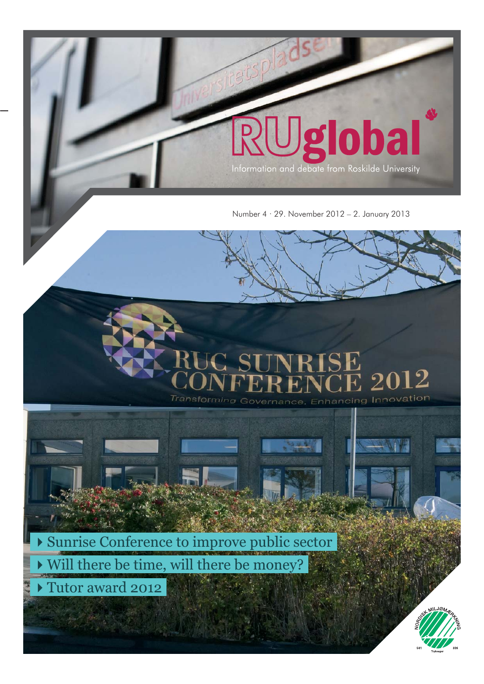

oba

Q

 $2751$ 





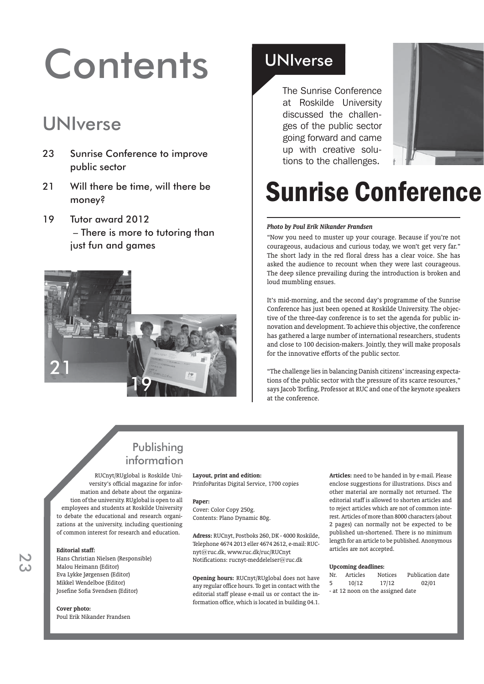# **Contents**

## UNIverse

- 23 Sunrise Conference to improve public sector
- 21 Will there be time, will there be money?
- 19 Tutor award 2012 – There is more to tutoring than just fun and games



### UNIverse

The Sunrise Conference at Roskilde University discussed the challenges of the public sector going forward and came up with creative solutions to the challenges.



## **Sunrise Conference**

### *Photo by Poul Erik Nikander Frandsen*

"Now you need to muster up your courage. Because if you're not courageous, audacious and curious today, we won't get very far." The short lady in the red floral dress has a clear voice. She has asked the audience to recount when they were last courageous. The deep silence prevailing during the introduction is broken and loud mumbling ensues.

It's mid-morning, and the second day's programme of the Sunrise Conference has just been opened at Roskilde University. The objective of the three-day conference is to set the agenda for public innovation and development. To achieve this objective, the conference has gathered a large number of international researchers, students and close to 100 decision-makers. Jointly, they will make proposals for the innovative efforts of the public sector.

"The challenge lies in balancing Danish citizens' increasing expectations of the public sector with the pressure of its scarce resources," says Jacob Torfing, Professor at RUC and one of the keynote speakers at the conference.

### Publishing information

RUCnyt/RUglobal is Roskilde University's official magazine for information and debate about the organization of the university. RUglobal is open to all employees and students at Roskilde University to debate the educational and research organizations at the university, including questioning of common interest for research and education.

### **Editorial staff:**

Hans Christian Nielsen (Responsible) Malou Heimann (Editor) Eva Lykke Jørgensen (Editor) Mikkel Wendelboe (Editor) Josefine Sofia Svendsen (Editor)

**Cover photo:** Poul Erik Nikander Frandsen **Layout, print and edition:** 

PrinfoParitas Digital Service, 1700 copies

#### **Paper:**

Cover: Color Copy 250g. Contents: Plano Dynamic 80g.

**Adress:** RUCnyt, Postboks 260, DK - 4000 Roskilde, Telephone 4674 2013 eller 4674 2612, e-mail: RUCnyt@ruc.dk, www.ruc.dk/ruc/RUCnyt Notifications: rucnyt-meddelelser@ruc.dk

**Opening hours:** RUCnyt/RUglobal does not have any regular office hours. To get in contact with the editorial staff please e-mail us or contact the information office, which is located in building 04.1.

**Articles:** need to be handed in by e-mail. Please enclose suggestions for illustrations. Discs and other material are normally not returned. The editorial staff is allowed to shorten articles and to reject articles which are not of common interest. Articles of more than 8000 characters (about 2 pages) can normally not be expected to be published un-shortened. There is no minimum length for an article to be published. Anonymous articles are not accepted.

#### **Upcoming deadlines:**

| Nr.                               | Articles | <b>Notices</b> | Publication date |
|-----------------------------------|----------|----------------|------------------|
| 5                                 | 10/12    | 17/12          | 02/01            |
| - at 12 noon on the assigned date |          |                |                  |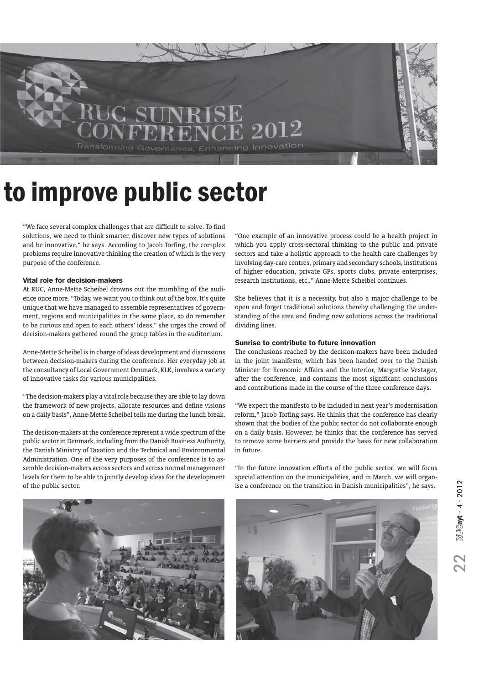

## to improve public sector

"We face several complex challenges that are difficult to solve. To find solutions, we need to think smarter, discover new types of solutions and be innovative," he says. According to Jacob Torfing, the complex problems require innovative thinking the creation of which is the very purpose of the conference.

### Vital role for decision-makers

At RUC, Anne-Mette Scheibel drowns out the mumbling of the audience once more. "Today, we want you to think out of the box. It's quite unique that we have managed to assemble representatives of government, regions and municipalities in the same place, so do remember to be curious and open to each others' ideas," she urges the crowd of decision-makers gathered round the group tables in the auditorium.

Anne-Mette Scheibel is in charge of ideas development and discussions between decision-makers during the conference. Her everyday job at the consultancy of Local Government Denmark, KLK, involves a variety of innovative tasks for various municipalities.

"The decision-makers play a vital role because they are able to lay down the framework of new projects, allocate resources and define visions on a daily basis", Anne-Mette Scheibel tells me during the lunch break.

The decision-makers at the conference represent a wide spectrum of the public sector in Denmark, including from the Danish Business Authority, the Danish Ministry of Taxation and the Technical and Environmental Administration. One of the very purposes of the conference is to assemble decision-makers across sectors and across normal management levels for them to be able to jointly develop ideas for the development of the public sector.

"One example of an innovative process could be a health project in which you apply cross-sectoral thinking to the public and private sectors and take a holistic approach to the health care challenges by involving day-care centres, primary and secondary schools, institutions of higher education, private GPs, sports clubs, private enterprises, research institutions, etc.," Anne-Mette Scheibel continues.

She believes that it is a necessity, but also a major challenge to be open and forget traditional solutions thereby challenging the understanding of the area and finding new solutions across the traditional dividing lines.

### Sunrise to contribute to future innovation

The conclusions reached by the decision-makers have been included in the joint manifesto, which has been handed over to the Danish Minister for Economic Affairs and the Interior, Margrethe Vestager, after the conference, and contains the most significant conclusions and contributions made in the course of the three conference days.

"We expect the manifesto to be included in next year's modernisation reform," Jacob Torfing says. He thinks that the conference has clearly shown that the bodies of the public sector do not collaborate enough on a daily basis. However, he thinks that the conference has served to remove some barriers and provide the basis for new collaboration in future.



"In the future innovation efforts of the public sector, we will focus special attention on the municipalities, and in March, we will organise a conference on the transition in Danish municipalities", he says.

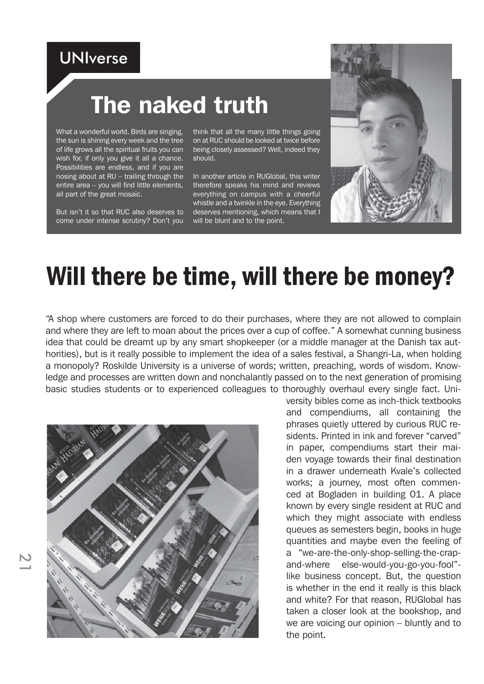### UNIverse

## The naked truth

What a wonderful world. Birds are singing, the sun is shining every week and the tree of life grows all the spiritual fruits you can wish for, if only you give it all a chance. Possibilities are endless, and if you are nosing about at RU – trailing through the entire area – you will find little elements, all part of the great mosaic.

But isn't it so that RUC also deserves to come under intense scrutiny? Don't you

think that all the many little things going on at RUC should be looked at twice before being closely assessed? Well, indeed they should.

In another article in RUGlobal, this writer therefore speaks his mind and reviews everything on campus with a cheerful whistle and a twinkle in the eve. Everything deserves mentioning, which means that I will be blunt and to the point.



## Will there be time, will there be money?

"A shop where customers are forced to do their purchases, where they are not allowed to complain and where they are left to moan about the prices over a cup of coffee." A somewhat cunning business idea that could be dreamt up by any smart shopkeeper (or a middle manager at the Danish tax authorities), but is it really possible to implement the idea of a sales festival, a Shangri-La, when holding a monopoly? Roskilde University is a universe of words; written, preaching, words of wisdom. Knowledge and processes are written down and nonchalantly passed on to the next generation of promising basic studies students or to experienced colleagues to thoroughly overhaul every single fact. Uni-



versity bibles come as inch-thick textbooks and compendiums, all containing the phrases quietly uttered by curious RUC residents. Printed in ink and forever "carved" in paper, compendiums start their maiden voyage towards their final destination in a drawer underneath Kvale's collected works; a journey, most often commenced at Bogladen in building 01. A place known by every single resident at RUC and which they might associate with endless queues as semesters begin, books in huge quantities and maybe even the feeling of a "we-are-the-only-shop-selling-the-crapand-where else-would-you-go-you-fool" like business concept. But, the question is whether in the end it really is this black and white? For that reason, RUGlobal has taken a closer look at the bookshop, and we are voicing our opinion – bluntly and to the point.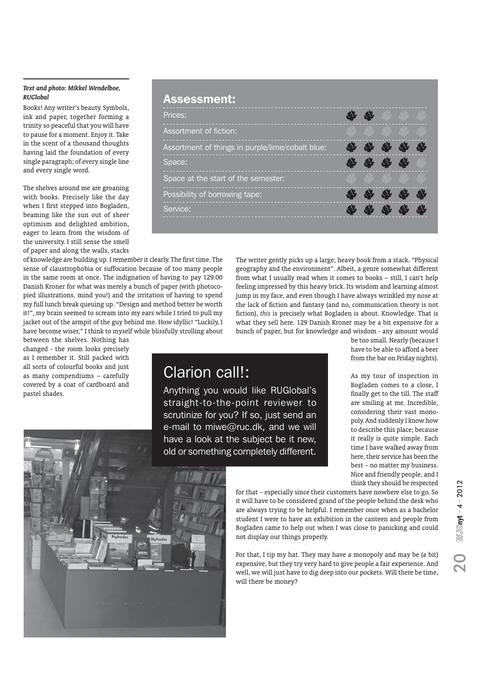### *Text and photo: Mikkel Wendelboe, RUGlobal*

Books! Any writer's beauty. Symbols, ink and paper, together forming a trinity so peaceful that you will have to pause for a moment. Enjoy it. Take in the scent of a thousand thoughts having laid the foundation of every single paragraph; of every single line and every single word.

The shelves around me are groaning with books. Precisely like the day when I first stepped into Bogladen, beaming like the sun out of sheer optimism and delighted ambition, eager to learn from the wisdom of the university. I still sense the smell of paper and along the walls, stacks

of knowledge are building up. I remember it clearly. The first time. The sense of claustrophobia or suffocation because of too many people in the same room at once. The indignation of having to pay 129.00 Danish Kroner for what was merely a bunch of paper (with photocopied illustrations, mind you!) and the irritation of having to spend my full lunch break queuing up. "Design and method better be worth it!", my brain seemed to scream into my ears while I tried to pull my jacket out of the armpit of the guy behind me. How idyllic! "Luckily, I have become wiser," I think to myself while blissfully strolling about

between the shelves. Nothing has changed - the room looks precisely as I remember it. Still packed with all sorts of colourful books and just as many compendiums – carefully covered by a coat of cardboard and pastel shades.



The writer gently picks up a large, heavy book from a stack. "Physical geography and the environment". Albeit, a genre somewhat different from what I usually read when it comes to books – still, I can't help feeling impressed by this heavy brick. Its wisdom and learning almost jump in my face, and even though I have always wrinkled my nose at the lack of fiction and fantasy (and no, communication theory is not fiction), *this* is precisely what Bogladen is about. Knowledge. That is what they sell here. 129 Danish Kroner may be a bit expensive for a bunch of paper, but for knowledge and wisdom - any amount would

### Clarion call!:

Anything you would like RUGlobal's straight-to-the-point reviewer to scrutinize for you? If so, just send an e-mail to miwe@ruc.dk, and we will have a look at the subject be it new, old or something completely different.

be too small. Nearly (because I have to be able to afford a beer from the bar on Friday nights).

As my tour of inspection in Bogladen comes to a close, I finally get to the till. The staff are smiling at me. Incredible, considering their vast monopoly. And suddenly I know how to describe this place; because it really is quite simple. Each time I have walked away from here, their service has been the best – no matter my business. Nice and friendly people, and I think they should be respected



for that – especially since their customers have nowhere else to go. So it will have to be considered grand of the people behind the desk who are always trying to be helpful. I remember once when as a bachelor student I were to have an exhibition in the canteen and people from Bogladen came to help out when I was close to panicking and could not display our things properly.

For that, I tip my hat. They may have a monopoly and may be (a bit) expensive, but they try very hard to give people a fair experience. And well, we will just have to dig deep into our pockets. Will there be time, will there be money?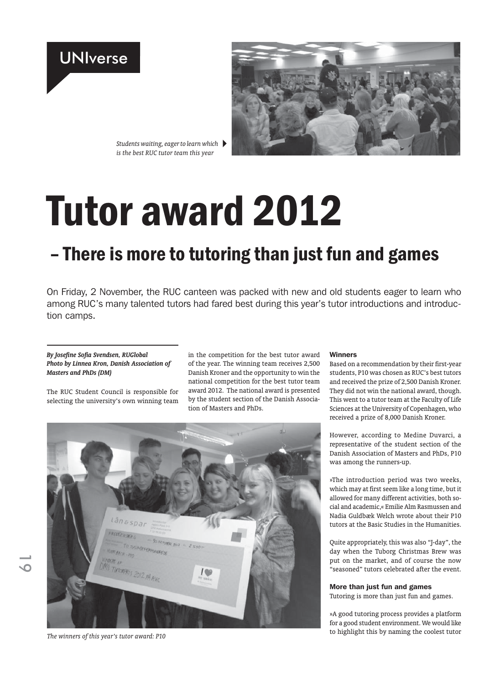## UNIverse



*Students waiting, eager to learn which is the best RUC tutor team this year*

# **Tutor award 2012**

## - There is more to tutoring than just fun and games

On Friday, 2 November, the RUC canteen was packed with new and old students eager to learn who among RUC's many talented tutors had fared best during this year's tutor introductions and introduction camps.

### *By Josefine Sofia Svendsen, RUGlobal Photo by Linnea Kron, Danish Association of Masters and PhDs (DM)*

The RUC Student Council is responsible for selecting the university's own winning team in the competition for the best tutor award of the year. The winning team receives 2,500 Danish Kroner and the opportunity to win the national competition for the best tutor team award 2012. The national award is presented by the student section of the Danish Association of Masters and PhDs.



*The winners of this year's tutor award: P10*

### Winners

Based on a recommendation by their first-year students, P10 was chosen as RUC's best tutors and received the prize of 2,500 Danish Kroner. They did not win the national award, though. This went to a tutor team at the Faculty of Life Sciences at the University of Copenhagen, who received a prize of 8,000 Danish Kroner.

However, according to Medine Duvarci, a representative of the student section of the Danish Association of Masters and PhDs, P10 was among the runners-up.

»The introduction period was two weeks, which may at first seem like a long time, but it allowed for many different activities, both social and academic,« Emilie Alm Rasmussen and Nadia Guldbæk Welch wrote about their P10 tutors at the Basic Studies in the Humanities.

Quite appropriately, this was also "J-day", the day when the Tuborg Christmas Brew was put on the market, and of course the now "seasoned" tutors celebrated after the event.

### More than just fun and games

Tutoring is more than just fun and games.

»A good tutoring process provides a platform for a good student environment. We would like to highlight this by naming the coolest tutor